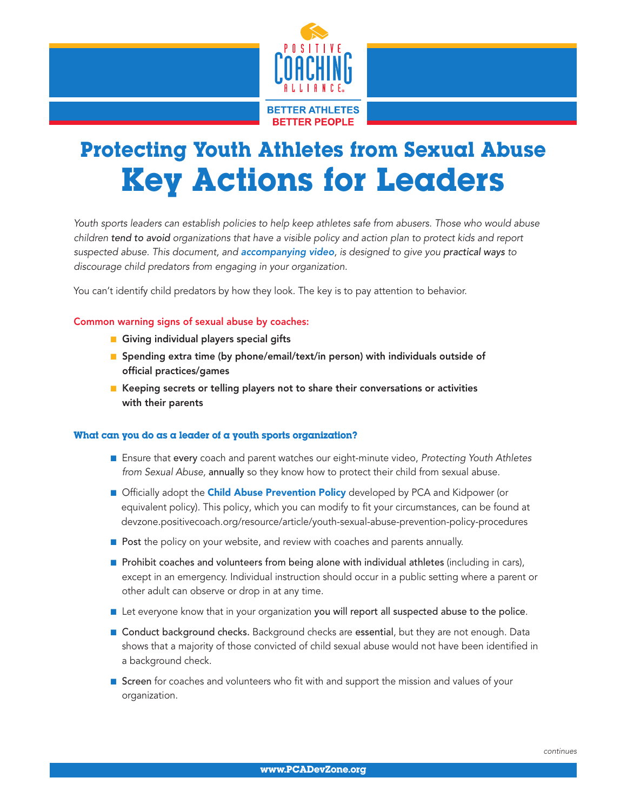

# Protecting Youth Athletes from Sexual Abuse Key Actions for Leaders

*Youth sports leaders can establish policies to help keep athletes safe from abusers. Those who would abuse children tend to avoid organizations that have a visible policy and action plan to protect kids and report suspected abuse. This document, and [accompanying video](http://devzone.positivecoach.org/resource/video/protecting-youth-athletes-sexual-abuse-youth-sports-leaders), is designed to give you practical ways to discourage child predators from engaging in your organization.* 

You can't identify child predators by how they look. The key is to pay attention to behavior.

## Common warning signs of sexual abuse by coaches:

- **n** Giving individual players special gifts
- **n** Spending extra time (by phone/email/text/in person) with individuals outside of official practices/games
- Keeping secrets or telling players not to share their conversations or activities with their parents

#### What can you do as a leader of a youth sports organization?

- n Ensure that every coach and parent watches our eight-minute video, *Protecting Youth Athletes from Sexual Abuse,* annually so they know how to protect their child from sexual abuse.
- **n** Officially adopt the **Child Abuse Prevention Policy** developed by PCA and Kidpower (or equivalent policy). This policy, which you can modify to fit your circumstances, can be found at [devzone.positivecoach.org/resource/article/youth-sexual-abuse-prevention-policy-procedures](http://devzone.positivecoach.org/resource/article/youth-sexual-abuse-prevention-policy-procedures)
- $\blacksquare$  Post the policy on your website, and review with coaches and parents annually.
- **n** Prohibit coaches and volunteers from being alone with individual athletes (including in cars), except in an emergency. Individual instruction should occur in a public setting where a parent or other adult can observe or drop in at any time.
- **n** Let everyone know that in your organization you will report all suspected abuse to the police.
- **n** Conduct background checks. Background checks are essential, but they are not enough. Data shows that a majority of those convicted of child sexual abuse would not have been identified in a background check.
- **Screen** for coaches and volunteers who fit with and support the mission and values of your organization.